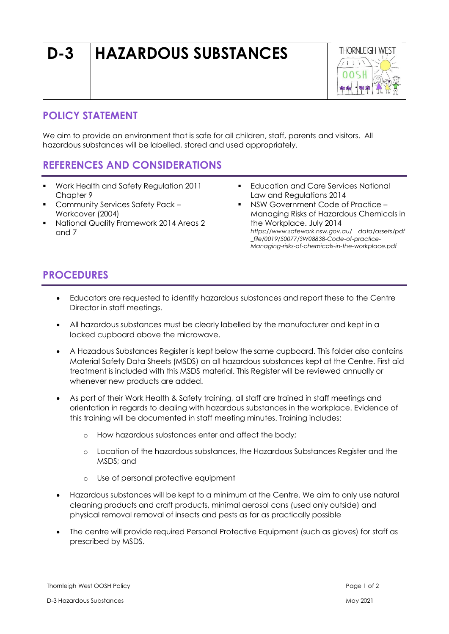# **D-3 HAZARDOUS SUBSTANCES**



#### **POLICY STATEMENT**

We aim to provide an environment that is safe for all children, staff, parents and visitors. All hazardous substances will be labelled, stored and used appropriately.

## **REFERENCES AND CONSIDERATIONS**

- Work Health and Safety Regulation 2011 Chapter 9
- Community Services Safety Pack Workcover (2004)
- National Quality Framework 2014 Areas 2 and 7
- **Education and Care Services National** Law and Regulations 2014
- NSW Government Code of Practice Managing Risks of Hazardous Chemicals in the Workplace. July 2014 *https://www.safework.nsw.gov.au/\_\_data/assets/pdf \_file/0019/50077/SW08838-Code-of-practice-Managing-risks-of-chemicals-in-the-workplace.pdf*

## **PROCEDURES**

- Educators are requested to identify hazardous substances and report these to the Centre Director in staff meetings.
- All hazardous substances must be clearly labelled by the manufacturer and kept in a locked cupboard above the microwave.
- A Hazadous Substances Register is kept below the same cupboard. This folder also contains Material Safety Data Sheets (MSDS) on all hazardous substances kept at the Centre. First aid treatment is included with this MSDS material. This Register will be reviewed annually or whenever new products are added.
- As part of their Work Health & Safety training, all staff are trained in staff meetings and orientation in regards to dealing with hazardous substances in the workplace. Evidence of this training will be documented in staff meeting minutes. Training includes:
	- o How hazardous substances enter and affect the body;
	- o Location of the hazardous substances, the Hazardous Substances Register and the MSDS; and
	- o Use of personal protective equipment
- Hazardous substances will be kept to a minimum at the Centre. We aim to only use natural cleaning products and craft products, minimal aerosol cans (used only outside) and physical removal removal of insects and pests as far as practically possible
- The centre will provide required Personal Protective Equipment (such as gloves) for staff as prescribed by MSDS.